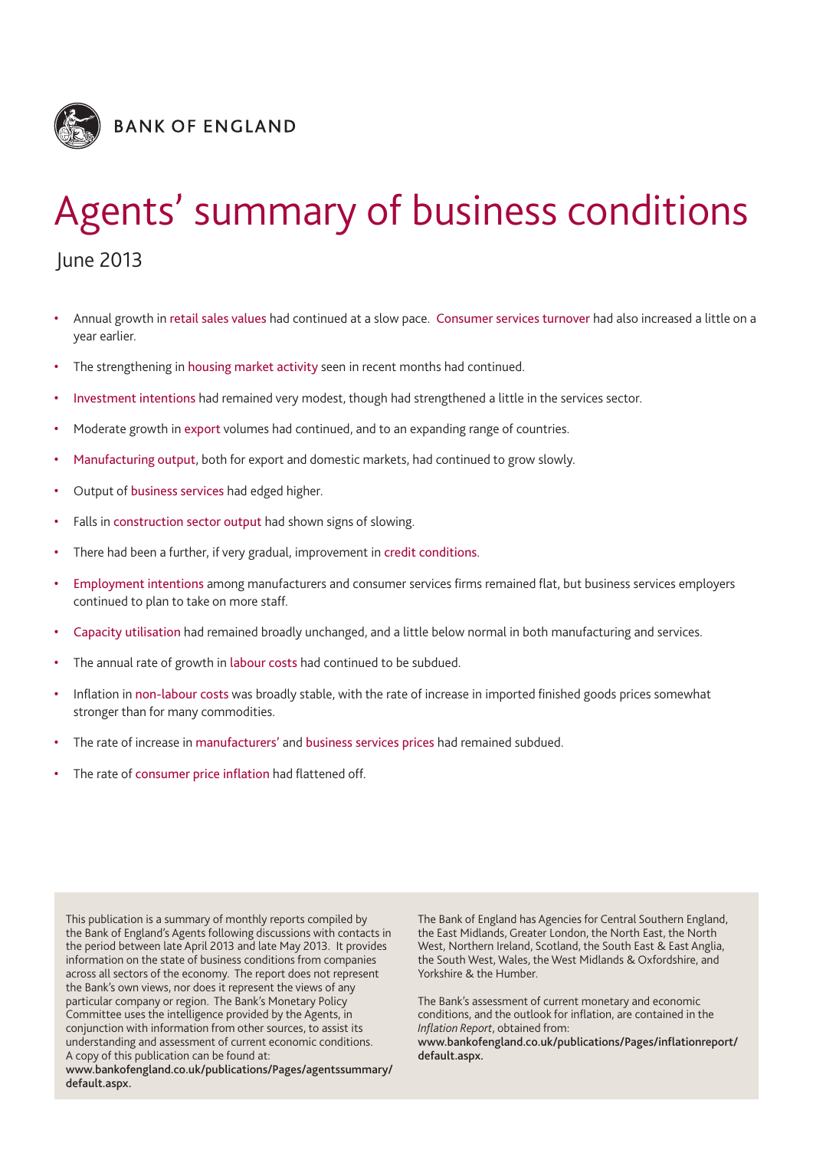

# Agents' summary of business conditions

## June 2013

- Annual growth in retail sales values had continued at a slow pace. Consumer services turnover had also increased a little on a year earlier.
- The strengthening in housing market activity seen in recent months had continued.
- Investment intentions had remained very modest, though had strengthened a little in the services sector.
- Moderate growth in export volumes had continued, and to an expanding range of countries.
- Manufacturing output, both for export and domestic markets, had continued to grow slowly.
- Output of business services had edged higher.
- Falls in construction sector output had shown signs of slowing.
- There had been a further, if very gradual, improvement in credit conditions.
- Employment intentions among manufacturers and consumer services firms remained flat, but business services employers continued to plan to take on more staff.
- Capacity utilisation had remained broadly unchanged, and a little below normal in both manufacturing and services.
- The annual rate of growth in labour costs had continued to be subdued.
- Inflation in non-labour costs was broadly stable, with the rate of increase in imported finished goods prices somewhat stronger than for many commodities.
- The rate of increase in manufacturers' and business services prices had remained subdued.
- The rate of consumer price inflation had flattened off.

This publication is a summary of monthly reports compiled by the Bank of England's Agents following discussions with contacts in the period between late April 2013 and late May 2013. It provides information on the state of business conditions from companies across all sectors of the economy. The report does not represent the Bank's own views, nor does it represent the views of any particular company or region. The Bank's Monetary Policy Committee uses the intelligence provided by the Agents, in conjunction with information from other sources, to assist its understanding and assessment of current economic conditions. A copy of this publication can be found at:

**www.bankofengland.co.uk/publications/Pages/agentssummary/ default.aspx.**

The Bank of England has Agencies for Central Southern England, the East Midlands, Greater London, the North East, the North West, Northern Ireland, Scotland, the South East & East Anglia, the South West, Wales, the West Midlands & Oxfordshire, and Yorkshire & the Humber.

The Bank's assessment of current monetary and economic conditions, and the outlook for inflation, are contained in the *Inflation Report*, obtained from:

**www.bankofengland.co.uk/publications/Pages/inflationreport/ default.aspx.**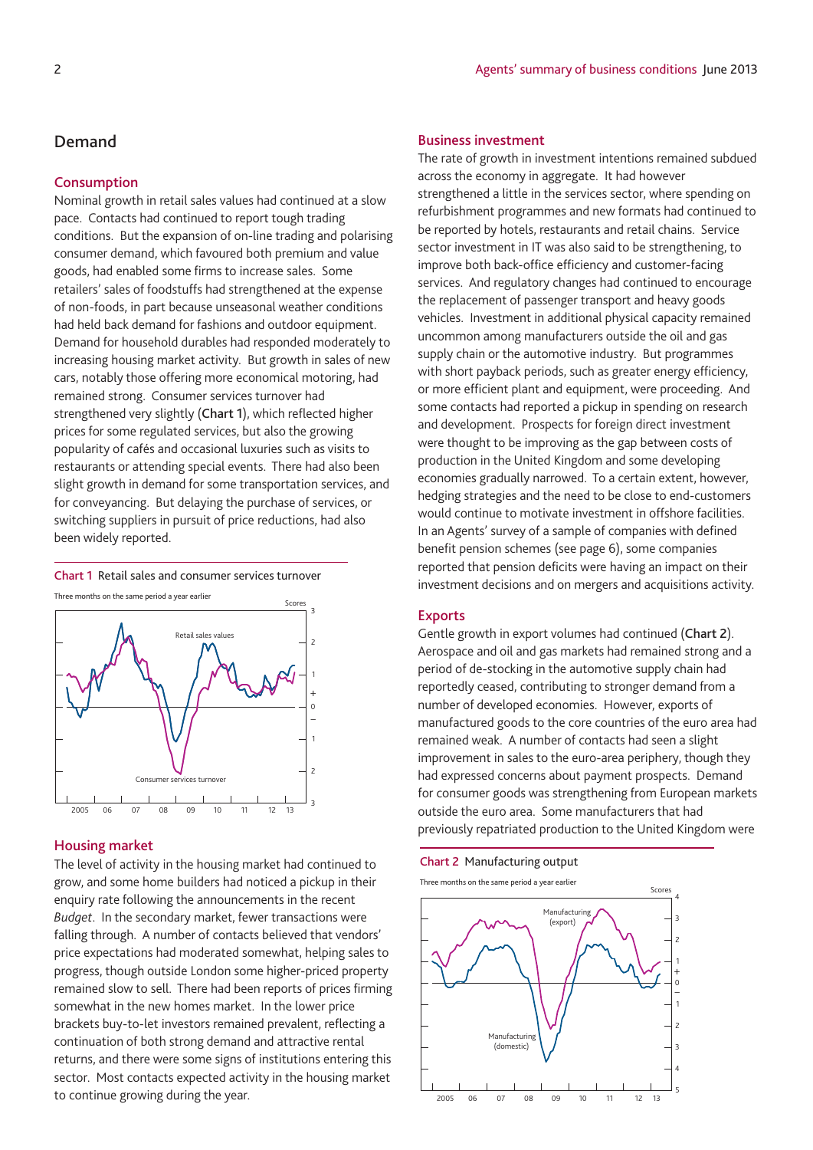## **Demand**

#### **Consumption**

Nominal growth in retail sales values had continued at a slow pace. Contacts had continued to report tough trading conditions. But the expansion of on-line trading and polarising consumer demand, which favoured both premium and value goods, had enabled some firms to increase sales. Some retailers' sales of foodstuffs had strengthened at the expense of non-foods, in part because unseasonal weather conditions had held back demand for fashions and outdoor equipment. Demand for household durables had responded moderately to increasing housing market activity. But growth in sales of new cars, notably those offering more economical motoring, had remained strong. Consumer services turnover had strengthened very slightly (**Chart 1**), which reflected higher prices for some regulated services, but also the growing popularity of cafés and occasional luxuries such as visits to restaurants or attending special events. There had also been slight growth in demand for some transportation services, and for conveyancing. But delaying the purchase of services, or switching suppliers in pursuit of price reductions, had also been widely reported.





#### **Housing market**

The level of activity in the housing market had continued to grow, and some home builders had noticed a pickup in their enquiry rate following the announcements in the recent *Budget*. In the secondary market, fewer transactions were falling through. A number of contacts believed that vendors' price expectations had moderated somewhat, helping sales to progress, though outside London some higher-priced property remained slow to sell. There had been reports of prices firming somewhat in the new homes market. In the lower price brackets buy-to-let investors remained prevalent, reflecting a continuation of both strong demand and attractive rental returns, and there were some signs of institutions entering this sector. Most contacts expected activity in the housing market to continue growing during the year.

## **Business investment**

The rate of growth in investment intentions remained subdued across the economy in aggregate. It had however strengthened a little in the services sector, where spending on refurbishment programmes and new formats had continued to be reported by hotels, restaurants and retail chains. Service sector investment in IT was also said to be strengthening, to improve both back-office efficiency and customer-facing services. And regulatory changes had continued to encourage the replacement of passenger transport and heavy goods vehicles. Investment in additional physical capacity remained uncommon among manufacturers outside the oil and gas supply chain or the automotive industry. But programmes with short payback periods, such as greater energy efficiency, or more efficient plant and equipment, were proceeding. And some contacts had reported a pickup in spending on research and development. Prospects for foreign direct investment were thought to be improving as the gap between costs of production in the United Kingdom and some developing economies gradually narrowed. To a certain extent, however, hedging strategies and the need to be close to end-customers would continue to motivate investment in offshore facilities. In an Agents' survey of a sample of companies with defined benefit pension schemes (see page 6), some companies reported that pension deficits were having an impact on their investment decisions and on mergers and acquisitions activity.

#### **Exports**

Gentle growth in export volumes had continued (**Chart 2**). Aerospace and oil and gas markets had remained strong and a period of de-stocking in the automotive supply chain had reportedly ceased, contributing to stronger demand from a number of developed economies. However, exports of manufactured goods to the core countries of the euro area had remained weak. A number of contacts had seen a slight improvement in sales to the euro-area periphery, though they had expressed concerns about payment prospects. Demand for consumer goods was strengthening from European markets outside the euro area. Some manufacturers that had previously repatriated production to the United Kingdom were

**Chart 2** Manufacturing output

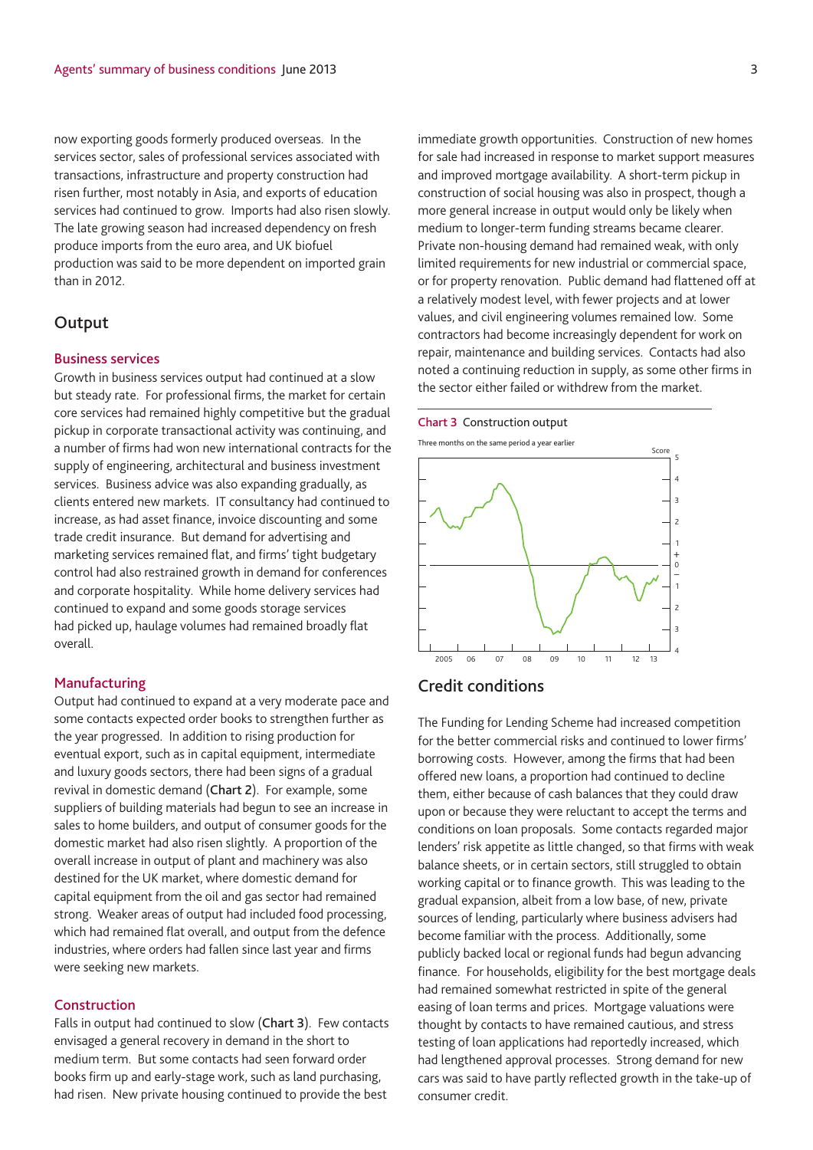now exporting goods formerly produced overseas. In the services sector, sales of professional services associated with transactions, infrastructure and property construction had risen further, most notably in Asia, and exports of education services had continued to grow. Imports had also risen slowly. The late growing season had increased dependency on fresh produce imports from the euro area, and UK biofuel production was said to be more dependent on imported grain than in 2012.

## **Output**

#### **Business services**

Growth in business services output had continued at a slow but steady rate. For professional firms, the market for certain core services had remained highly competitive but the gradual pickup in corporate transactional activity was continuing, and a number of firms had won new international contracts for the supply of engineering, architectural and business investment services. Business advice was also expanding gradually, as clients entered new markets. IT consultancy had continued to increase, as had asset finance, invoice discounting and some trade credit insurance. But demand for advertising and marketing services remained flat, and firms' tight budgetary control had also restrained growth in demand for conferences and corporate hospitality. While home delivery services had continued to expand and some goods storage services had picked up, haulage volumes had remained broadly flat overall.

## **Manufacturing**

Output had continued to expand at a very moderate pace and some contacts expected order books to strengthen further as the year progressed. In addition to rising production for eventual export, such as in capital equipment, intermediate and luxury goods sectors, there had been signs of a gradual revival in domestic demand (**Chart 2**). For example, some suppliers of building materials had begun to see an increase in sales to home builders, and output of consumer goods for the domestic market had also risen slightly. A proportion of the overall increase in output of plant and machinery was also destined for the UK market, where domestic demand for capital equipment from the oil and gas sector had remained strong. Weaker areas of output had included food processing, which had remained flat overall, and output from the defence industries, where orders had fallen since last year and firms were seeking new markets.

## **Construction**

Falls in output had continued to slow (**Chart 3**). Few contacts envisaged a general recovery in demand in the short to medium term. But some contacts had seen forward order books firm up and early-stage work, such as land purchasing, had risen. New private housing continued to provide the best immediate growth opportunities. Construction of new homes for sale had increased in response to market support measures and improved mortgage availability. A short-term pickup in construction of social housing was also in prospect, though a more general increase in output would only be likely when medium to longer-term funding streams became clearer. Private non-housing demand had remained weak, with only limited requirements for new industrial or commercial space, or for property renovation. Public demand had flattened off at a relatively modest level, with fewer projects and at lower values, and civil engineering volumes remained low. Some contractors had become increasingly dependent for work on repair, maintenance and building services. Contacts had also noted a continuing reduction in supply, as some other firms in the sector either failed or withdrew from the market.

#### **Chart 3** Construction output

Three months on the same period a year earlier



## **Credit conditions**

The Funding for Lending Scheme had increased competition for the better commercial risks and continued to lower firms' borrowing costs. However, among the firms that had been offered new loans, a proportion had continued to decline them, either because of cash balances that they could draw upon or because they were reluctant to accept the terms and conditions on loan proposals. Some contacts regarded major lenders' risk appetite as little changed, so that firms with weak balance sheets, or in certain sectors, still struggled to obtain working capital or to finance growth. This was leading to the gradual expansion, albeit from a low base, of new, private sources of lending, particularly where business advisers had become familiar with the process. Additionally, some publicly backed local or regional funds had begun advancing finance. For households, eligibility for the best mortgage deals had remained somewhat restricted in spite of the general easing of loan terms and prices. Mortgage valuations were thought by contacts to have remained cautious, and stress testing of loan applications had reportedly increased, which had lengthened approval processes. Strong demand for new cars was said to have partly reflected growth in the take-up of consumer credit.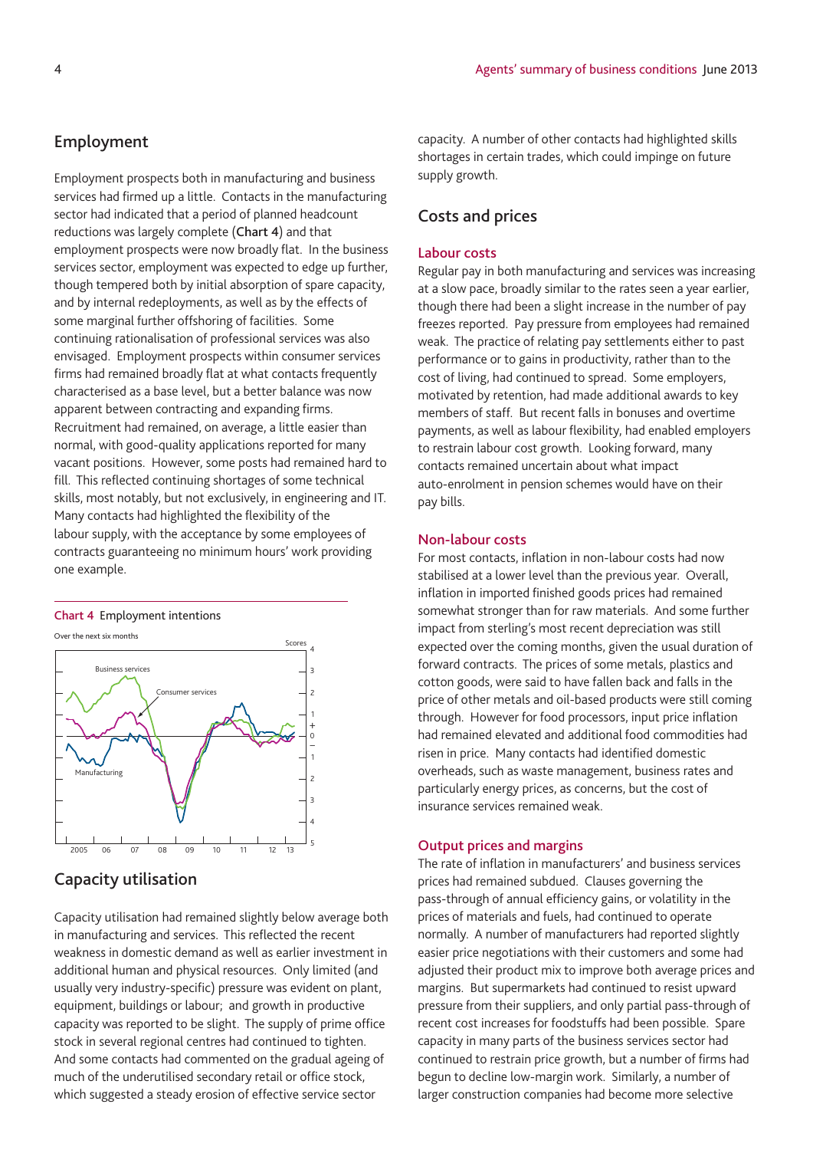## **Employment**

Employment prospects both in manufacturing and business services had firmed up a little. Contacts in the manufacturing sector had indicated that a period of planned headcount reductions was largely complete (**Chart 4**) and that employment prospects were now broadly flat. In the business services sector, employment was expected to edge up further, though tempered both by initial absorption of spare capacity, and by internal redeployments, as well as by the effects of some marginal further offshoring of facilities. Some continuing rationalisation of professional services was also envisaged. Employment prospects within consumer services firms had remained broadly flat at what contacts frequently characterised as a base level, but a better balance was now apparent between contracting and expanding firms. Recruitment had remained, on average, a little easier than normal, with good-quality applications reported for many vacant positions. However, some posts had remained hard to fill. This reflected continuing shortages of some technical skills, most notably, but not exclusively, in engineering and IT. Many contacts had highlighted the flexibility of the labour supply, with the acceptance by some employees of contracts guaranteeing no minimum hours' work providing one example.

#### **Chart 4** Employment intentions

Over the next six months



## **Capacity utilisation**

Capacity utilisation had remained slightly below average both in manufacturing and services. This reflected the recent weakness in domestic demand as well as earlier investment in additional human and physical resources. Only limited (and usually very industry-specific) pressure was evident on plant, equipment, buildings or labour; and growth in productive capacity was reported to be slight. The supply of prime office stock in several regional centres had continued to tighten. And some contacts had commented on the gradual ageing of much of the underutilised secondary retail or office stock, which suggested a steady erosion of effective service sector

capacity. A number of other contacts had highlighted skills shortages in certain trades, which could impinge on future supply growth.

## **Costs and prices**

## **Labour costs**

Regular pay in both manufacturing and services was increasing at a slow pace, broadly similar to the rates seen a year earlier, though there had been a slight increase in the number of pay freezes reported. Pay pressure from employees had remained weak. The practice of relating pay settlements either to past performance or to gains in productivity, rather than to the cost of living, had continued to spread. Some employers, motivated by retention, had made additional awards to key members of staff. But recent falls in bonuses and overtime payments, as well as labour flexibility, had enabled employers to restrain labour cost growth. Looking forward, many contacts remained uncertain about what impact auto-enrolment in pension schemes would have on their pay bills.

## **Non-labour costs**

For most contacts, inflation in non-labour costs had now stabilised at a lower level than the previous year. Overall, inflation in imported finished goods prices had remained somewhat stronger than for raw materials. And some further impact from sterling's most recent depreciation was still expected over the coming months, given the usual duration of forward contracts. The prices of some metals, plastics and cotton goods, were said to have fallen back and falls in the price of other metals and oil-based products were still coming through. However for food processors, input price inflation had remained elevated and additional food commodities had risen in price. Many contacts had identified domestic overheads, such as waste management, business rates and particularly energy prices, as concerns, but the cost of insurance services remained weak.

## **Output prices and margins**

The rate of inflation in manufacturers' and business services prices had remained subdued. Clauses governing the pass-through of annual efficiency gains, or volatility in the prices of materials and fuels, had continued to operate normally. A number of manufacturers had reported slightly easier price negotiations with their customers and some had adjusted their product mix to improve both average prices and margins. But supermarkets had continued to resist upward pressure from their suppliers, and only partial pass-through of recent cost increases for foodstuffs had been possible. Spare capacity in many parts of the business services sector had continued to restrain price growth, but a number of firms had begun to decline low-margin work. Similarly, a number of larger construction companies had become more selective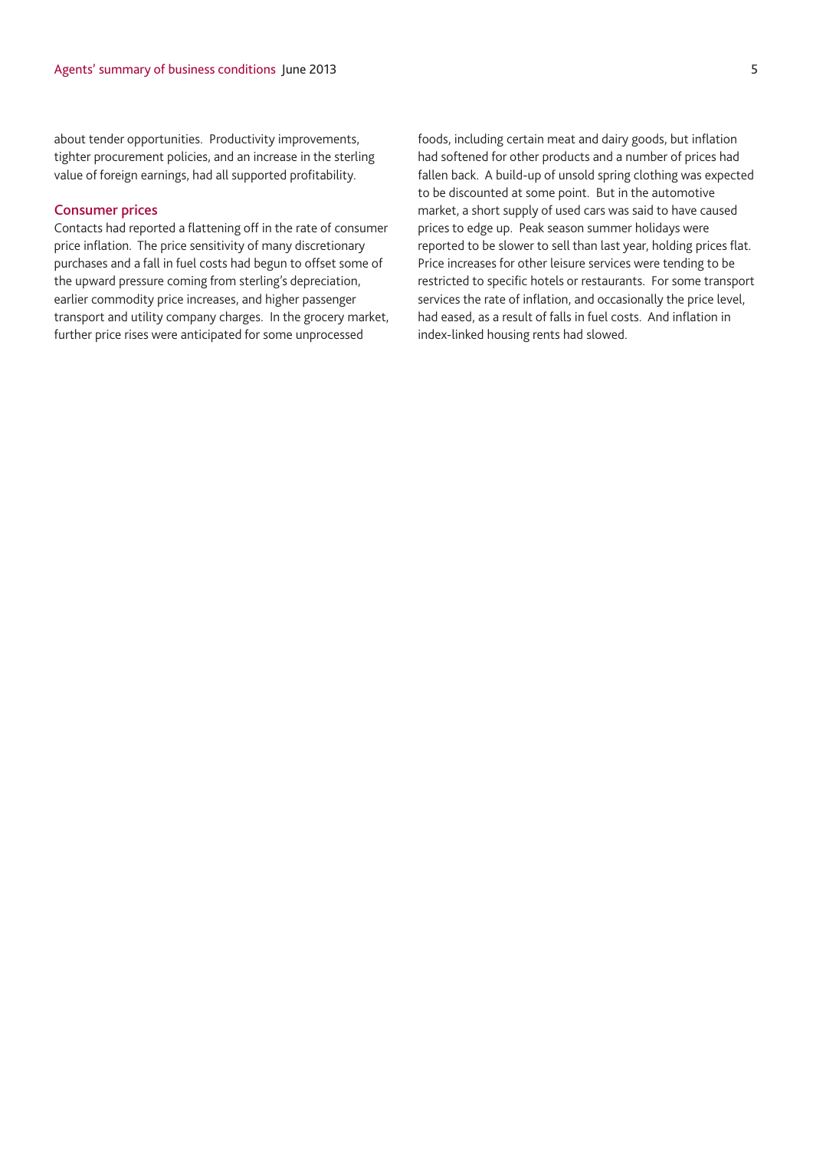about tender opportunities. Productivity improvements, tighter procurement policies, and an increase in the sterling value of foreign earnings, had all supported profitability.

## **Consumer prices**

Contacts had reported a flattening off in the rate of consumer price inflation. The price sensitivity of many discretionary purchases and a fall in fuel costs had begun to offset some of the upward pressure coming from sterling's depreciation, earlier commodity price increases, and higher passenger transport and utility company charges. In the grocery market, further price rises were anticipated for some unprocessed

foods, including certain meat and dairy goods, but inflation had softened for other products and a number of prices had fallen back. A build-up of unsold spring clothing was expected to be discounted at some point. But in the automotive market, a short supply of used cars was said to have caused prices to edge up. Peak season summer holidays were reported to be slower to sell than last year, holding prices flat. Price increases for other leisure services were tending to be restricted to specific hotels or restaurants. For some transport services the rate of inflation, and occasionally the price level, had eased, as a result of falls in fuel costs. And inflation in index-linked housing rents had slowed.